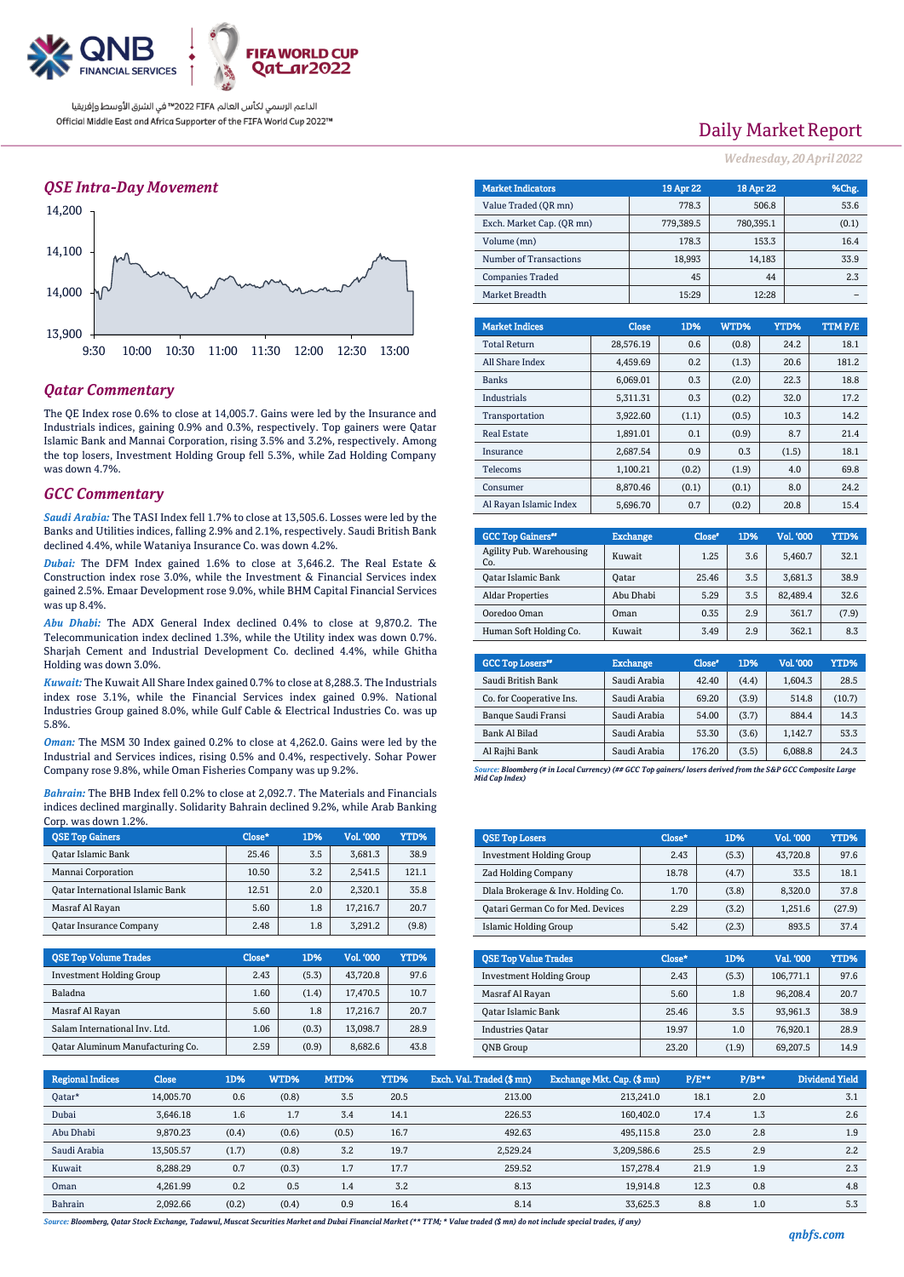

## *QSE Intra-Day Movement*



## *Qatar Commentary*

The QE Index rose 0.6% to close at 14,005.7. Gains were led by the Insurance and Industrials indices, gaining 0.9% and 0.3%, respectively. Top gainers were Qatar Islamic Bank and Mannai Corporation, rising 3.5% and 3.2%, respectively. Among the top losers, Investment Holding Group fell 5.3%, while Zad Holding Company was down 4.7%.

## *GCC Commentary*

*Saudi Arabia:* The TASI Index fell 1.7% to close at 13,505.6. Losses were led by the Banks and Utilities indices, falling 2.9% and 2.1%, respectively. Saudi British Bank declined 4.4%, while Wataniya Insurance Co. was down 4.2%.

*Dubai:* The DFM Index gained 1.6% to close at 3,646.2. The Real Estate & Construction index rose 3.0%, while the Investment & Financial Services index gained 2.5%. Emaar Development rose 9.0%, while BHM Capital Financial Services was up 8.4%

*Abu Dhabi:* The ADX General Index declined 0.4% to close at 9,870.2. The Telecommunication index declined 1.3%, while the Utility index was down 0.7%. Sharjah Cement and Industrial Development Co. declined 4.4%, while Ghitha Holding was down 3.0%.

*Kuwait:* The Kuwait All Share Index gained 0.7% to close at 8,288.3. The Industrials index rose 3.1%, while the Financial Services index gained 0.9%. National Industries Group gained 8.0%, while Gulf Cable & Electrical Industries Co. was up 5.8%.

*Oman:* The MSM 30 Index gained 0.2% to close at 4,262.0. Gains were led by the Industrial and Services indices, rising 0.5% and 0.4%, respectively. Sohar Power Company rose 9.8%, while Oman Fisheries Company was up 9.2%.

*Bahrain:* The BHB Index fell 0.2% to close at 2,092.7. The Materials and Financials indices declined marginally. Solidarity Bahrain declined 9.2%, while Arab Banking Corp. was down 1.2%.

| <b>QSE Top Gainers</b>           | Close* | 1D% | Vol. '000 | <b>YTD%</b> |
|----------------------------------|--------|-----|-----------|-------------|
| <b>Oatar Islamic Bank</b>        | 25.46  | 3.5 | 3.681.3   | 38.9        |
| Mannai Corporation               | 10.50  | 3.2 | 2.541.5   | 121.1       |
| Oatar International Islamic Bank | 12.51  | 2.0 | 2.320.1   | 35.8        |
| Masraf Al Rayan                  | 5.60   | 1.8 | 17.216.7  | 20.7        |
| <b>Qatar Insurance Company</b>   | 2.48   | 1.8 | 3,291.2   | (9.8)       |

| <b>OSE Top Volume Trades</b>     | Close* | 1D%   | <b>Vol. '000</b> | YTD% |
|----------------------------------|--------|-------|------------------|------|
| <b>Investment Holding Group</b>  | 2.43   | (5.3) | 43.720.8         | 97.6 |
| Baladna                          | 1.60   | (1.4) | 17,470.5         | 10.7 |
| Masraf Al Rayan                  | 5.60   | 1.8   | 17.216.7         | 20.7 |
| Salam International Inv. Ltd.    | 1.06   | (0.3) | 13.098.7         | 28.9 |
| Qatar Aluminum Manufacturing Co. | 2.59   | (0.9) | 8,682.6          | 43.8 |

# Daily Market Report

*Wednesday, 20April 2022*

| <b>Market Indicators</b>  |  | 19 Apr 22    | 18 Apr 22 |           | %Chg.  |        |  |  |
|---------------------------|--|--------------|-----------|-----------|--------|--------|--|--|
| Value Traded (OR mn)      |  |              | 778.3     |           | 506.8  | 53.6   |  |  |
| Exch. Market Cap. (QR mn) |  |              | 779,389.5 | 780,395.1 |        | (0.1)  |  |  |
| Volume (mn)               |  |              | 178.3     |           | 153.3  | 16.4   |  |  |
| Number of Transactions    |  |              | 18,993    |           | 14,183 | 33.9   |  |  |
| <b>Companies Traded</b>   |  |              | 45        |           | 44     | 2.3    |  |  |
| Market Breadth            |  |              | 15:29     |           | 12:28  |        |  |  |
|                           |  |              |           |           |        |        |  |  |
| <b>Market Indices</b>     |  | <b>Close</b> | 1D%       | WTD%      | YTD%   | TTMP/E |  |  |
| <b>Total Return</b>       |  | 28,576.19    | 0.6       | (0.8)     | 24.2   | 18.1   |  |  |
| All Share Index           |  | 4.459.69     | 0.2       | (1.3)     | 20.6   | 181.2  |  |  |
| <b>Banks</b>              |  | 6,069.01     | 0.3       | (2.0)     | 22.3   | 18.8   |  |  |
| Industrials               |  | 5.311.31     | 0.3       | (0.2)     | 32.0   | 17.2   |  |  |
| Transportation            |  | 3,922.60     | (1.1)     | (0.5)     | 10.3   | 14.2   |  |  |
| <b>Real Estate</b>        |  | 1,891.01     | 0.1       | (0.9)     | 8.7    | 21.4   |  |  |
| Insurance                 |  | 2,687.54     | 0.9       | 0.3       | (1.5)  | 18.1   |  |  |
| Telecoms                  |  | 1,100.21     | (0.2)     | (1.9)     | 4.0    | 69.8   |  |  |
| Consumer                  |  | 8,870.46     | (0.1)     | (0.1)     | 8.0    | 24.2   |  |  |
| Al Rayan Islamic Index    |  | 5.696.70     | 0.7       | (0.2)     | 20.8   | 15.4   |  |  |

| <b>GCC Top Gainers</b> "        | <b>Exchange</b> | Close* | 1D% | Vol. '000 | YTD%  |
|---------------------------------|-----------------|--------|-----|-----------|-------|
| Agility Pub. Warehousing<br>Co. | Kuwait          | 1.25   | 3.6 | 5,460.7   | 32.1  |
| Oatar Islamic Bank              | Oatar           | 25.46  | 3.5 | 3.681.3   | 38.9  |
| <b>Aldar Properties</b>         | Abu Dhabi       | 5.29   | 3.5 | 82.489.4  | 32.6  |
| Ooredoo Oman                    | Oman            | 0.35   | 2.9 | 361.7     | (7.9) |
| Human Soft Holding Co.          | Kuwait          | 3.49   | 2.9 | 362.1     | 8.3   |

| <b>GCC Top Losers</b> "  | <b>Exchange</b> | Close <sup>®</sup> | 1D%   | Vol. '000 | YTD%   |
|--------------------------|-----------------|--------------------|-------|-----------|--------|
| Saudi British Bank       | Saudi Arabia    | 42.40              | (4.4) | 1.604.3   | 28.5   |
| Co. for Cooperative Ins. | Saudi Arabia    | 69.20              | (3.9) | 514.8     | (10.7) |
| Banque Saudi Fransi      | Saudi Arabia    | 54.00              | (3.7) | 884.4     | 14.3   |
| Bank Al Bilad            | Saudi Arabia    | 53.30              | (3.6) | 1.142.7   | 53.3   |
| Al Rajhi Bank            | Saudi Arabia    | 176.20             | (3.5) | 6,088.8   | 24.3   |

*Source: Bloomberg (# in Local Currency) (## GCC Top gainers/ losers derived from the S&P GCC Composite Large Mid Cap Index)*

| <b>QSE Top Losers</b>              | Close* | 1D%   | Vol. '000 | YTD%   |
|------------------------------------|--------|-------|-----------|--------|
| <b>Investment Holding Group</b>    | 2.43   | (5.3) | 43,720.8  | 97.6   |
| Zad Holding Company                | 18.78  | (4.7) | 33.5      | 18.1   |
| Dlala Brokerage & Inv. Holding Co. | 1.70   | (3.8) | 8.320.0   | 37.8   |
| Qatari German Co for Med. Devices  | 2.29   | (3.2) | 1.251.6   | (27.9) |
| Islamic Holding Group              | 5.42   | (2.3) | 893.5     | 37.4   |

| <b>OSE Top Value Trades</b>     | Close* | 1D%   | Val. '000 | YTD% |
|---------------------------------|--------|-------|-----------|------|
| <b>Investment Holding Group</b> | 2.43   | (5.3) | 106,771.1 | 97.6 |
| Masraf Al Rayan                 | 5.60   | 1.8   | 96.208.4  | 20.7 |
| Qatar Islamic Bank              | 25.46  | 3.5   | 93,961.3  | 38.9 |
| <b>Industries Oatar</b>         | 19.97  | 1.0   | 76.920.1  | 28.9 |
| <b>ONB</b> Group                | 23.20  | (1.9) | 69,207.5  | 14.9 |

| <b>Regional Indices</b> | <b>Close</b> | 1D%   | WTD%  | MTD%  | YTD% | Exch. Val. Traded (\$mn) | Exchange Mkt. Cap. (\$ mn) | $P/E***$ | $P/B**$ | Dividend Yield |
|-------------------------|--------------|-------|-------|-------|------|--------------------------|----------------------------|----------|---------|----------------|
| Oatar*                  | 14.005.70    | 0.6   | (0.8) | 3.5   | 20.5 | 213.00                   | 213,241.0                  | 18.1     | 2.0     | 3.1            |
| Dubai                   | 3.646.18     | 1.6   | 1.7   | 3.4   | 14.1 | 226.53                   | 160,402.0                  | 17.4     | 1.3     | 2.6            |
| Abu Dhabi               | 9,870.23     | (0.4) | (0.6) | (0.5) | 16.7 | 492.63                   | 495,115.8                  | 23.0     | 2.8     | 1.9            |
| Saudi Arabia            | 13,505.57    | (1.7) | (0.8) | 3.2   | 19.7 | 2,529.24                 | 3,209,586.6                | 25.5     | 2.9     | 2.2            |
| Kuwait                  | 8.288.29     | 0.7   | (0.3) | 1.7   | 17.7 | 259.52                   | 157.278.4                  | 21.9     | 1.9     | 2.3            |
| Oman                    | 4.261.99     | 0.2   | 0.5   | 1.4   | 3.2  | 8.13                     | 19.914.8                   | 12.3     | 0.8     | 4.8            |
| Bahrain                 | 2.092.66     | (0.2) | (0.4) | 0.9   | 16.4 | 8.14                     | 33.625.3                   | 8.8      | 1.0     | 5.3            |

*Source: Bloomberg, Qatar Stock Exchange, Tadawul, Muscat Securities Market and Dubai Financial Market (\*\* TTM; \* Value traded (\$ mn) do not include special trades, if any)*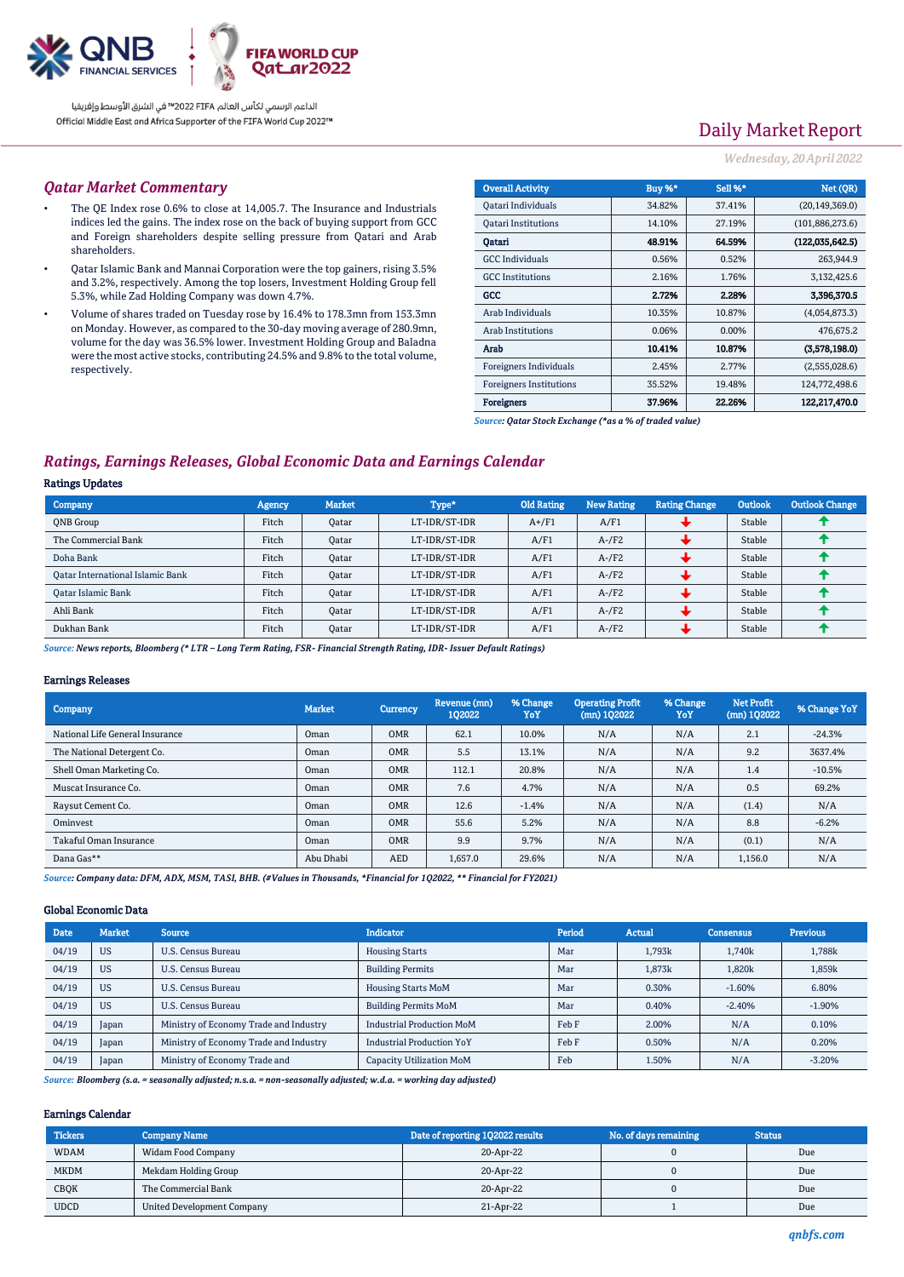

# Daily Market Report

### *Wednesday, 20April 2022*

#### *Qatar Market Commentary*

- The QE Index rose 0.6% to close at 14,005.7. The Insurance and Industrials indices led the gains. The index rose on the back of buying support from GCC and Foreign shareholders despite selling pressure from Qatari and Arab shareholders.
- Qatar Islamic Bank and Mannai Corporation were the top gainers, rising 3.5% and 3.2%, respectively. Among the top losers, Investment Holding Group fell 5.3%, while Zad Holding Company was down 4.7%.
- Volume of shares traded on Tuesday rose by 16.4% to 178.3mn from 153.3mn on Monday. However, as compared to the 30-day moving average of 280.9mn, volume for the day was 36.5% lower. Investment Holding Group and Baladna were the most active stocks, contributing 24.5% and 9.8% to the total volume, respectively.

| <b>Overall Activity</b>        | Buy %* | <b>Sell %*</b> | Net (OR)          |
|--------------------------------|--------|----------------|-------------------|
| Qatari Individuals             | 34.82% | 37.41%         | (20, 149, 369.0)  |
| <b>Oatari Institutions</b>     | 14.10% | 27.19%         | (101, 886, 273.6) |
| Oatari                         | 48.91% | 64.59%         | (122.035.642.5)   |
| <b>GCC</b> Individuals         | 0.56%  | 0.52%          | 263,944.9         |
| <b>GCC</b> Institutions        | 2.16%  | 1.76%          | 3,132,425.6       |
| GCC                            | 2.72%  | 2.28%          | 3,396,370.5       |
| Arab Individuals               | 10.35% | 10.87%         | (4,054,873.3)     |
| <b>Arab Institutions</b>       | 0.06%  | 0.00%          | 476,675.2         |
| Arab                           | 10.41% | 10.87%         | (3,578,198.0)     |
| <b>Foreigners Individuals</b>  | 2.45%  | 2.77%          | (2,555,028.6)     |
| <b>Foreigners Institutions</b> | 35.52% | 19.48%         | 124,772,498.6     |
| <b>Foreigners</b>              | 37.96% | 22.26%         | 122,217,470.0     |

*Source: Qatar Stock Exchange (\*as a % of traded value)*

## *Ratings, Earnings Releases, Global Economic Data and Earnings Calendar*

| <b>Ratings Updates</b> |  |
|------------------------|--|
|------------------------|--|

| Company                                 | Agency | <b>Market</b> | Type*         | <b>Old Rating</b> | <b>New Rating</b>    | <b>Rating Change</b> | Outlook | <b>Outlook Change</b> |
|-----------------------------------------|--------|---------------|---------------|-------------------|----------------------|----------------------|---------|-----------------------|
| ONB Group                               | Fitch  | Oatar         | LT-IDR/ST-IDR | $A+/F1$           | A/F1                 |                      | Stable  |                       |
| The Commercial Bank                     | Fitch  | Oatar         | LT-IDR/ST-IDR | A/F1              | $A-fF2$              |                      | Stable  |                       |
| Doha Bank                               | Fitch  | Oatar         | LT-IDR/ST-IDR | A/F1              | $A-fF2$              |                      | Stable  |                       |
| <b>Qatar International Islamic Bank</b> | Fitch  | Oatar         | LT-IDR/ST-IDR | A/F1              | $A$ -/F <sub>2</sub> |                      | Stable  |                       |
| <b>Qatar Islamic Bank</b>               | Fitch  | Oatar         | LT-IDR/ST-IDR | A/F1              | $A-fF2$              |                      | Stable  |                       |
| Ahli Bank                               | Fitch  | Oatar         | LT-IDR/ST-IDR | A/F1              | $A-fF2$              |                      | Stable  |                       |
| Dukhan Bank                             | Fitch  | Oatar         | LT-IDR/ST-IDR | A/F1              | $A-fF2$              |                      | Stable  |                       |

*Source: News reports, Bloomberg (\* LTR – Long Term Rating, FSR- Financial Strength Rating, IDR- Issuer Default Ratings)*

#### Earnings Releases

| <b>Company</b>                  | <b>Market</b> | <b>Currency</b> | Revenue (mn)<br>102022 | % Change<br>YoY | <b>Operating Profit</b><br>$(mn)$ 102022 | % Change<br>YoY | <b>Net Profit</b><br>$(mn)$ 102022 | % Change YoY |
|---------------------------------|---------------|-----------------|------------------------|-----------------|------------------------------------------|-----------------|------------------------------------|--------------|
| National Life General Insurance | Oman          | <b>OMR</b>      | 62.1                   | 10.0%           | N/A                                      | N/A             | 2.1                                | $-24.3%$     |
| The National Detergent Co.      | Oman          | <b>OMR</b>      | 5.5                    | 13.1%           | N/A                                      | N/A             | 9.2                                | 3637.4%      |
| Shell Oman Marketing Co.        | Oman          | <b>OMR</b>      | 112.1                  | 20.8%           | N/A                                      | N/A             | 1.4                                | $-10.5%$     |
| Muscat Insurance Co.            | Oman          | <b>OMR</b>      | 7.6                    | 4.7%            | N/A                                      | N/A             | 0.5                                | 69.2%        |
| Raysut Cement Co.               | Oman          | <b>OMR</b>      | 12.6                   | $-1.4%$         | N/A                                      | N/A             | (1.4)                              | N/A          |
| Ominyest                        | Oman          | <b>OMR</b>      | 55.6                   | 5.2%            | N/A                                      | N/A             | 8.8                                | $-6.2%$      |
| Takaful Oman Insurance          | Oman          | <b>OMR</b>      | 9.9                    | 9.7%            | N/A                                      | N/A             | (0.1)                              | N/A          |
| Dana Gas**                      | Abu Dhabi     | <b>AED</b>      | 1.657.0                | 29.6%           | N/A                                      | N/A             | 1,156.0                            | N/A          |

*Source: Company data: DFM, ADX, MSM, TASI, BHB. (#Values in Thousands, \*Financial for 1Q2022, \*\* Financial for FY2021)*

#### Global Economic Data

| <b>Date</b> | <b>Market</b> | <b>Source</b>                          | <b>Indicator</b>                 | Period | <b>Actual</b> | <b>Consensus</b>   | <b>Previous</b> |
|-------------|---------------|----------------------------------------|----------------------------------|--------|---------------|--------------------|-----------------|
| 04/19       | <b>US</b>     | U.S. Census Bureau                     | <b>Housing Starts</b>            | Mar    | 1.793k        | 1.740 <sub>k</sub> | 1,788k          |
| 04/19       | <b>US</b>     | U.S. Census Bureau                     | <b>Building Permits</b>          | Mar    | 1.873k        | 1,820k             | 1,859k          |
| 04/19       | <b>US</b>     | U.S. Census Bureau                     | <b>Housing Starts MoM</b>        | Mar    | 0.30%         | $-1.60%$           | 6.80%           |
| 04/19       | <b>US</b>     | U.S. Census Bureau                     | <b>Building Permits MoM</b>      | Mar    | 0.40%         | $-2.40%$           | $-1.90%$        |
| 04/19       | Japan         | Ministry of Economy Trade and Industry | <b>Industrial Production MoM</b> | Feb F  | 2.00%         | N/A                | 0.10%           |
| 04/19       | Japan         | Ministry of Economy Trade and Industry | <b>Industrial Production YoY</b> | Feb F  | 0.50%         | N/A                | 0.20%           |
| 04/19       | Japan         | Ministry of Economy Trade and          | <b>Capacity Utilization MoM</b>  | Feb    | 1.50%         | N/A                | $-3.20%$        |

*Source: Bloomberg (s.a. = seasonally adjusted; n.s.a. = non-seasonally adjusted; w.d.a. = working day adjusted)*

#### Earnings Calendar

| <b>Tickers</b> | <b>Company Name</b>        | Date of reporting 1Q2022 results | No. of days remaining | <b>Status</b> |
|----------------|----------------------------|----------------------------------|-----------------------|---------------|
| <b>WDAM</b>    | Widam Food Company         | 20-Apr-22                        |                       | Due           |
| <b>MKDM</b>    | Mekdam Holding Group       | 20-Apr-22                        |                       | Due           |
| <b>CBQK</b>    | The Commercial Bank        | 20-Apr-22                        |                       | Due           |
| <b>UDCD</b>    | United Development Company | 21-Apr-22                        |                       | Due           |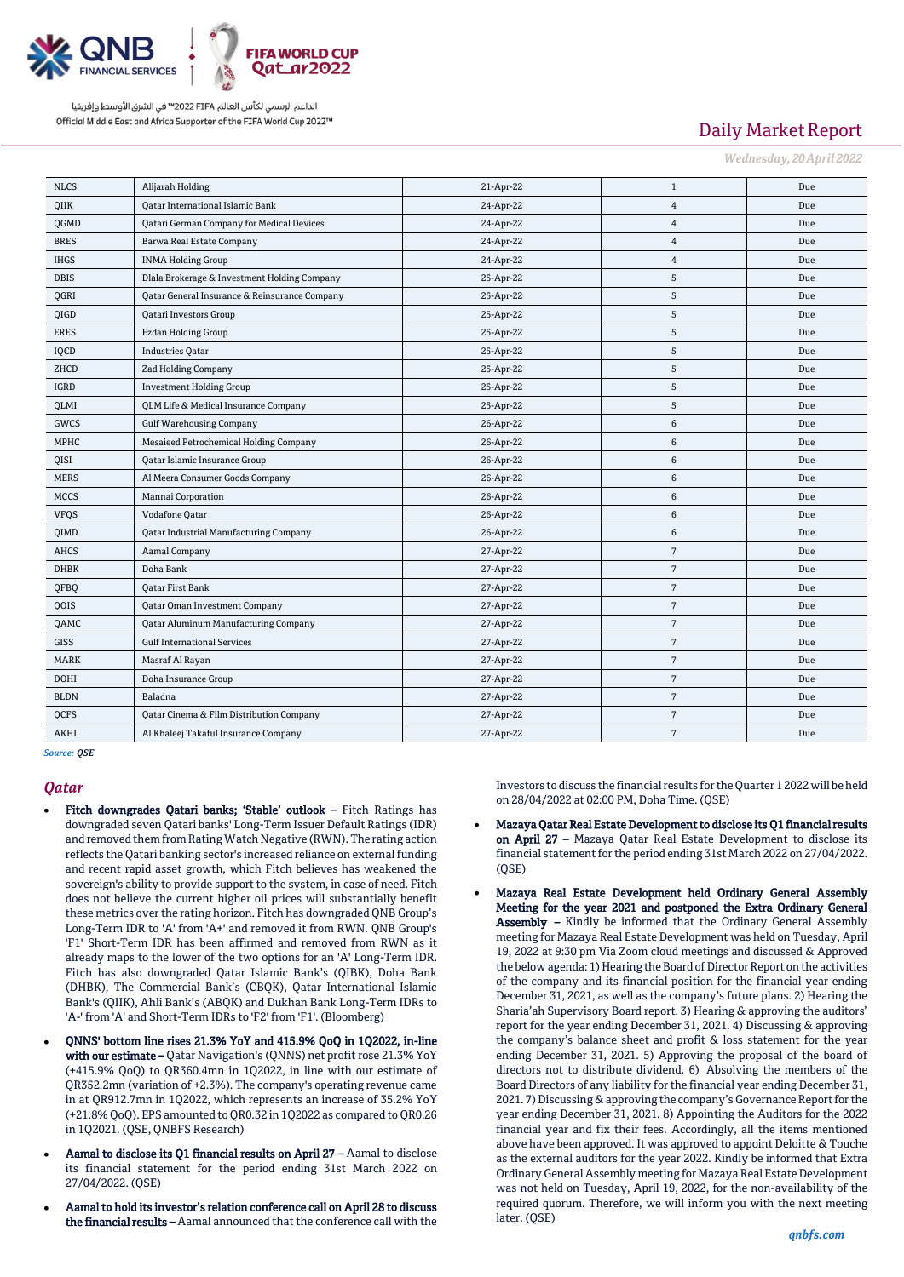

# Daily Market Report

*Wednesday, 20April 2022*

| <b>NLCS</b> | Alijarah Holding                              | 21-Apr-22 | 1               | Due |
|-------------|-----------------------------------------------|-----------|-----------------|-----|
| <b>OIIK</b> | Oatar International Islamic Bank              | 24-Apr-22 | $\overline{4}$  | Due |
| <b>OGMD</b> | Qatari German Company for Medical Devices     | 24-Apr-22 | $\overline{4}$  | Due |
| <b>BRES</b> | Barwa Real Estate Company                     | 24-Apr-22 | $\overline{4}$  | Due |
| <b>IHGS</b> | <b>INMA Holding Group</b>                     | 24-Apr-22 | $\overline{4}$  | Due |
| <b>DBIS</b> | Dlala Brokerage & Investment Holding Company  | 25-Apr-22 | 5               | Due |
| QGRI        | Qatar General Insurance & Reinsurance Company | 25-Apr-22 | 5               | Due |
| QIGD        | <b>Qatari Investors Group</b>                 | 25-Apr-22 | 5               | Due |
| <b>ERES</b> | <b>Ezdan Holding Group</b>                    | 25-Apr-22 | 5               | Due |
| IQCD        | <b>Industries Oatar</b>                       | 25-Apr-22 | 5               | Due |
| ZHCD        | <b>Zad Holding Company</b>                    | 25-Apr-22 | 5               | Due |
| <b>IGRD</b> | <b>Investment Holding Group</b>               | 25-Apr-22 | $\sqrt{5}$      | Due |
| QLMI        | QLM Life & Medical Insurance Company          | 25-Apr-22 | 5               | Due |
| <b>GWCS</b> | <b>Gulf Warehousing Company</b>               | 26-Apr-22 | 6               | Due |
| <b>MPHC</b> | Mesaieed Petrochemical Holding Company        | 26-Apr-22 | 6               | Due |
| QISI        | <b>Qatar Islamic Insurance Group</b>          | 26-Apr-22 | 6               | Due |
| <b>MERS</b> | Al Meera Consumer Goods Company               | 26-Apr-22 | 6               | Due |
| <b>MCCS</b> | Mannai Corporation                            | 26-Apr-22 | 6               | Due |
| <b>VFQS</b> | Vodafone Qatar                                | 26-Apr-22 | 6               | Due |
| QIMD        | Qatar Industrial Manufacturing Company        | 26-Apr-22 | 6               | Due |
| <b>AHCS</b> | Aamal Company                                 | 27-Apr-22 | $7\phantom{.0}$ | Due |
| <b>DHBK</b> | Doha Bank                                     | 27-Apr-22 | $7\overline{ }$ | Due |
| QFBQ        | <b>Oatar First Bank</b>                       | 27-Apr-22 | $7\phantom{.0}$ | Due |
| QOIS        | <b>Qatar Oman Investment Company</b>          | 27-Apr-22 | $7\overline{ }$ | Due |
| QAMC        | <b>Qatar Aluminum Manufacturing Company</b>   | 27-Apr-22 | $7\overline{ }$ | Due |
| <b>GISS</b> | <b>Gulf International Services</b>            | 27-Apr-22 | $\overline{7}$  | Due |
| <b>MARK</b> | Masraf Al Rayan                               | 27-Apr-22 | $7\overline{ }$ | Due |
| <b>DOHI</b> | Doha Insurance Group                          | 27-Apr-22 | $\overline{7}$  | Due |
| <b>BLDN</b> | Baladna                                       | 27-Apr-22 | $7\overline{ }$ | Due |
| QCFS        | Qatar Cinema & Film Distribution Company      | 27-Apr-22 | $7\overline{ }$ | Due |
| AKHI        | Al Khaleej Takaful Insurance Company          | 27-Apr-22 | $7\overline{ }$ | Due |
|             |                                               |           |                 |     |

*Source: QSE*

#### *Qatar*

- Fitch downgrades Qatari banks; 'Stable' outlook Fitch Ratings has downgraded seven Qatari banks' Long-Term Issuer Default Ratings (IDR) and removed them from Rating Watch Negative (RWN). The rating action reflects the Qatari banking sector's increased reliance on external funding and recent rapid asset growth, which Fitch believes has weakened the sovereign's ability to provide support to the system, in case of need. Fitch does not believe the current higher oil prices will substantially benefit these metrics over the rating horizon. Fitch has downgraded QNB Group's Long-Term IDR to 'A' from 'A+' and removed it from RWN. QNB Group's 'F1' Short-Term IDR has been affirmed and removed from RWN as it already maps to the lower of the two options for an 'A' Long-Term IDR. Fitch has also downgraded Qatar Islamic Bank's (QIBK), Doha Bank (DHBK), The Commercial Bank's (CBQK), Qatar International Islamic Bank's (QIIK), Ahli Bank's (ABQK) and Dukhan Bank Long-Term IDRs to 'A-' from 'A' and Short-Term IDRs to 'F2' from 'F1'. (Bloomberg)
- QNNS' bottom line rises 21.3% YoY and 415.9% QoQ in 1Q2022, in-line with our estimate – Oatar Navigation's (ONNS) net profit rose 21.3% YoY (+415.9% QoQ) to QR360.4mn in 1Q2022, in line with our estimate of QR352.2mn (variation of +2.3%). The company's operating revenue came in at QR912.7mn in 1Q2022, which represents an increase of 35.2% YoY (+21.8% QoQ). EPS amounted to QR0.32 in 1Q2022 as compared to QR0.26 in 1Q2021. (QSE, QNBFS Research)
- Aamal to disclose its Q1 financial results on April 27 Aamal to disclose its financial statement for the period ending 31st March 2022 on 27/04/2022. (QSE)
- Aamal to hold its investor's relation conference call on April 28 to discuss the financial results – Aamal announced that the conference call with the

Investors to discuss the financial results for the Quarter 1 2022 will be held on 28/04/2022 at 02:00 PM, Doha Time. (QSE)

- Mazaya Qatar Real Estate Development to disclose its Q1 financial results on April 27 – Mazaya Qatar Real Estate Development to disclose its financial statement for the period ending 31st March 2022 on 27/04/2022.  $(OSE)$
- Mazaya Real Estate Development held Ordinary General Assembly Meeting for the year 2021 and postponed the Extra Ordinary General Assembly – Kindly be informed that the Ordinary General Assembly meeting for Mazaya Real Estate Development was held on Tuesday, April 19, 2022 at 9:30 pm Via Zoom cloud meetings and discussed & Approved the below agenda: 1) Hearing the Board of Director Report on the activities of the company and its financial position for the financial year ending December 31, 2021, as well as the company's future plans. 2) Hearing the Sharia'ah Supervisory Board report. 3) Hearing & approving the auditors' report for the year ending December 31, 2021. 4) Discussing & approving the company's balance sheet and profit & loss statement for the year ending December 31, 2021. 5) Approving the proposal of the board of directors not to distribute dividend. 6) Absolving the members of the Board Directors of any liability for the financial year ending December 31, 2021. 7) Discussing & approving the company's Governance Report for the year ending December 31, 2021. 8) Appointing the Auditors for the 2022 financial year and fix their fees. Accordingly, all the items mentioned above have been approved. It was approved to appoint Deloitte & Touche as the external auditors for the year 2022. Kindly be informed that Extra Ordinary General Assembly meeting for Mazaya Real Estate Development was not held on Tuesday, April 19, 2022, for the non-availability of the required quorum. Therefore, we will inform you with the next meeting later. (QSE)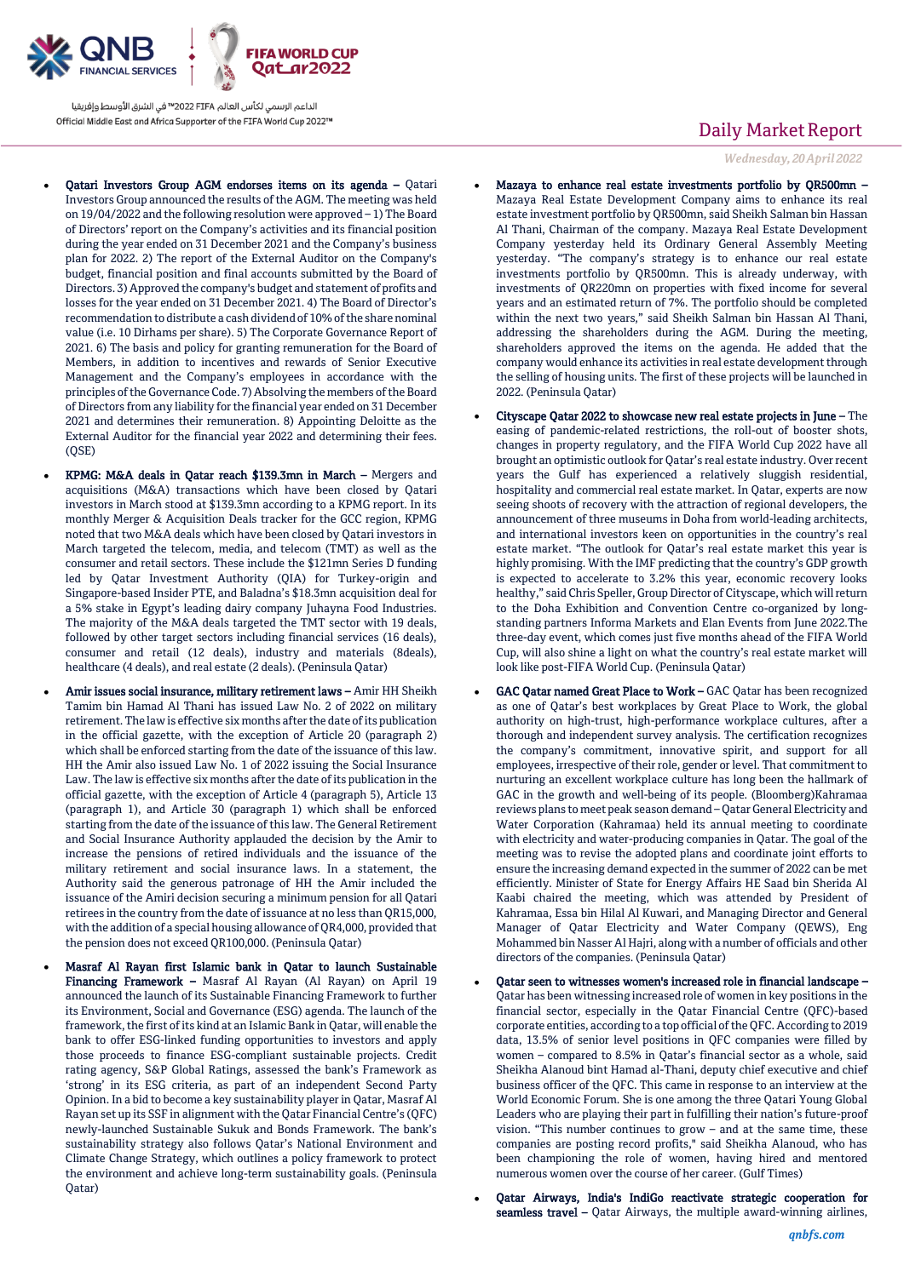

- Qatari Investors Group AGM endorses items on its agenda Qatari Investors Group announced the results of the AGM. The meeting was held on 19/04/2022 and the following resolution were approved – 1) The Board of Directors' report on the Company's activities and its financial position during the year ended on 31 December 2021 and the Company's business plan for 2022. 2) The report of the External Auditor on the Company's budget, financial position and final accounts submitted by the Board of Directors. 3) Approved the company's budget and statement of profits and losses for the year ended on 31 December 2021. 4) The Board of Director's recommendation to distribute a cash dividend of 10% of the share nominal value (i.e. 10 Dirhams per share). 5) The Corporate Governance Report of 2021. 6) The basis and policy for granting remuneration for the Board of Members, in addition to incentives and rewards of Senior Executive Management and the Company's employees in accordance with the principles of the Governance Code. 7) Absolving the members of the Board of Directors from any liability for the financial year ended on 31 December 2021 and determines their remuneration. 8) Appointing Deloitte as the External Auditor for the financial year 2022 and determining their fees.  $(OSE)$
- KPMG: M&A deals in Qatar reach \$139.3mn in March Mergers and acquisitions (M&A) transactions which have been closed by Qatari investors in March stood at \$139.3mn according to a KPMG report. In its monthly Merger & Acquisition Deals tracker for the GCC region, KPMG noted that two M&A deals which have been closed by Qatari investors in March targeted the telecom, media, and telecom (TMT) as well as the consumer and retail sectors. These include the \$121mn Series D funding led by Qatar Investment Authority (QIA) for Turkey-origin and Singapore-based Insider PTE, and Baladna's \$18.3mn acquisition deal for a 5% stake in Egypt's leading dairy company Juhayna Food Industries. The majority of the M&A deals targeted the TMT sector with 19 deals, followed by other target sectors including financial services (16 deals), consumer and retail (12 deals), industry and materials (8deals), healthcare (4 deals), and real estate (2 deals). (Peninsula Qatar)
- Amir issues social insurance, military retirement laws Amir HH Sheikh Tamim bin Hamad Al Thani has issued Law No. 2 of 2022 on military retirement. The law is effective six months after the date of its publication in the official gazette, with the exception of Article 20 (paragraph 2) which shall be enforced starting from the date of the issuance of this law. HH the Amir also issued Law No. 1 of 2022 issuing the Social Insurance Law. The law is effective six months after the date of its publication in the official gazette, with the exception of Article 4 (paragraph 5), Article 13 (paragraph 1), and Article 30 (paragraph 1) which shall be enforced starting from the date of the issuance of this law. The General Retirement and Social Insurance Authority applauded the decision by the Amir to increase the pensions of retired individuals and the issuance of the military retirement and social insurance laws. In a statement, the Authority said the generous patronage of HH the Amir included the issuance of the Amiri decision securing a minimum pension for all Qatari retirees in the country from the date of issuance at no less than QR15,000, with the addition of a special housing allowance of QR4,000, provided that the pension does not exceed QR100,000. (Peninsula Qatar)
	- Masraf Al Rayan first Islamic bank in Qatar to launch Sustainable Financing Framework - Masraf Al Rayan (Al Rayan) on April 19 announced the launch of its Sustainable Financing Framework to further its Environment, Social and Governance (ESG) agenda. The launch of the framework, the first of its kind at an Islamic Bank in Qatar, will enable the bank to offer ESG-linked funding opportunities to investors and apply those proceeds to finance ESG-compliant sustainable projects. Credit rating agency, S&P Global Ratings, assessed the bank's Framework as 'strong' in its ESG criteria, as part of an independent Second Party Opinion. In a bid to become a key sustainability player in Qatar, Masraf Al Rayan set up its SSF in alignment with the Qatar Financial Centre's (QFC) newly-launched Sustainable Sukuk and Bonds Framework. The bank's sustainability strategy also follows Qatar's National Environment and Climate Change Strategy, which outlines a policy framework to protect the environment and achieve long-term sustainability goals. (Peninsula Qatar)

## Daily Market Report

*Wednesday, 20April 2022*

- Mazaya to enhance real estate investments portfolio by QR500mn Mazaya Real Estate Development Company aims to enhance its real estate investment portfolio by QR500mn, said Sheikh Salman bin Hassan Al Thani, Chairman of the company. Mazaya Real Estate Development Company yesterday held its Ordinary General Assembly Meeting yesterday. "The company's strategy is to enhance our real estate investments portfolio by QR500mn. This is already underway, with investments of QR220mn on properties with fixed income for several years and an estimated return of 7%. The portfolio should be completed within the next two years," said Sheikh Salman bin Hassan Al Thani, addressing the shareholders during the AGM. During the meeting, shareholders approved the items on the agenda. He added that the company would enhance its activities in real estate development through the selling of housing units. The first of these projects will be launched in 2022. (Peninsula Qatar)
- Cityscape Qatar 2022 to showcase new real estate projects in June The easing of pandemic-related restrictions, the roll-out of booster shots, changes in property regulatory, and the FIFA World Cup 2022 have all brought an optimistic outlook for Qatar's real estate industry. Over recent years the Gulf has experienced a relatively sluggish residential, hospitality and commercial real estate market. In Qatar, experts are now seeing shoots of recovery with the attraction of regional developers, the announcement of three museums in Doha from world-leading architects, and international investors keen on opportunities in the country's real estate market. "The outlook for Qatar's real estate market this year is highly promising. With the IMF predicting that the country's GDP growth is expected to accelerate to 3.2% this year, economic recovery looks healthy," said Chris Speller, Group Director of Cityscape, which will return to the Doha Exhibition and Convention Centre co-organized by longstanding partners Informa Markets and Elan Events from June 2022.The three-day event, which comes just five months ahead of the FIFA World Cup, will also shine a light on what the country's real estate market will look like post-FIFA World Cup. (Peninsula Qatar)
- GAC Qatar named Great Place to Work GAC Qatar has been recognized as one of Qatar's best workplaces by Great Place to Work, the global authority on high-trust, high-performance workplace cultures, after a thorough and independent survey analysis. The certification recognizes the company's commitment, innovative spirit, and support for all employees, irrespective of their role, gender or level. That commitment to nurturing an excellent workplace culture has long been the hallmark of GAC in the growth and well-being of its people. (Bloomberg)Kahramaa reviews plans to meet peak season demand – Qatar General Electricity and Water Corporation (Kahramaa) held its annual meeting to coordinate with electricity and water-producing companies in Qatar. The goal of the meeting was to revise the adopted plans and coordinate joint efforts to ensure the increasing demand expected in the summer of 2022 can be met efficiently. Minister of State for Energy Affairs HE Saad bin Sherida Al Kaabi chaired the meeting, which was attended by President of Kahramaa, Essa bin Hilal Al Kuwari, and Managing Director and General Manager of Qatar Electricity and Water Company (QEWS), Eng Mohammed bin Nasser Al Hajri, along with a number of officials and other directors of the companies. (Peninsula Qatar)
- Qatar seen to witnesses women's increased role in financial landscape Qatar has been witnessing increased role of women in key positions in the financial sector, especially in the Qatar Financial Centre (QFC)-based corporate entities, according to a top official of the QFC. According to 2019 data, 13.5% of senior level positions in QFC companies were filled by women – compared to 8.5% in Qatar's financial sector as a whole, said Sheikha Alanoud bint Hamad al-Thani, deputy chief executive and chief business officer of the QFC. This came in response to an interview at the World Economic Forum. She is one among the three Qatari Young Global Leaders who are playing their part in fulfilling their nation's future-proof vision. "This number continues to grow – and at the same time, these companies are posting record profits," said Sheikha Alanoud, who has been championing the role of women, having hired and mentored numerous women over the course of her career. (Gulf Times)
- Qatar Airways, India's IndiGo reactivate strategic cooperation for seamless travel - Qatar Airways, the multiple award-winning airlines,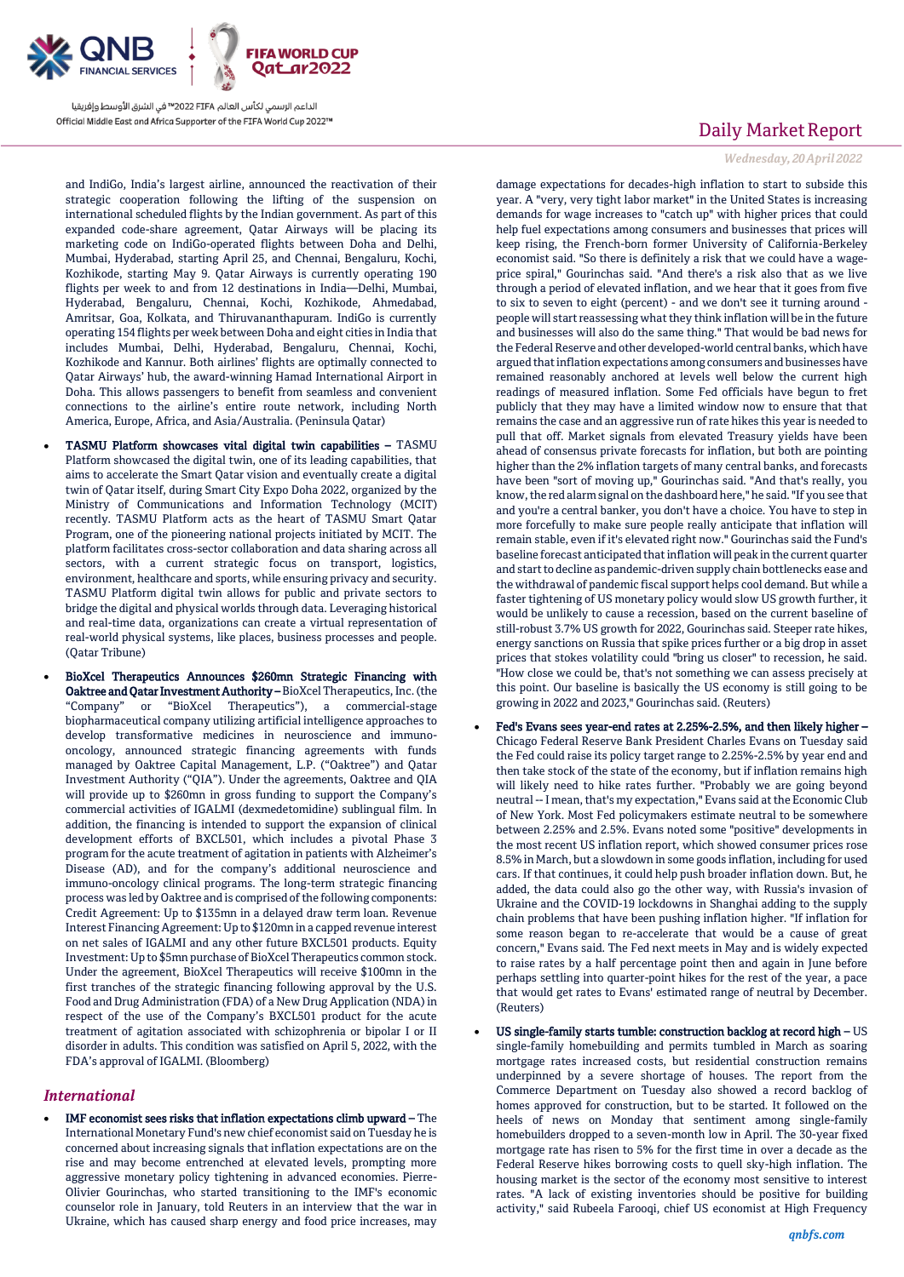

and IndiGo, India's largest airline, announced the reactivation of their strategic cooperation following the lifting of the suspension on international scheduled flights by the Indian government. As part of this expanded code-share agreement, Qatar Airways will be placing its marketing code on IndiGo-operated flights between Doha and Delhi, Mumbai, Hyderabad, starting April 25, and Chennai, Bengaluru, Kochi, Kozhikode, starting May 9. Qatar Airways is currently operating 190 flights per week to and from 12 destinations in India—Delhi, Mumbai, Hyderabad, Bengaluru, Chennai, Kochi, Kozhikode, Ahmedabad, Amritsar, Goa, Kolkata, and Thiruvananthapuram. IndiGo is currently operating 154 flights per week between Doha and eight cities in India that includes Mumbai, Delhi, Hyderabad, Bengaluru, Chennai, Kochi, Kozhikode and Kannur. Both airlines' flights are optimally connected to Qatar Airways' hub, the award-winning Hamad International Airport in Doha. This allows passengers to benefit from seamless and convenient connections to the airline's entire route network, including North America, Europe, Africa, and Asia/Australia. (Peninsula Qatar)

- TASMU Platform showcases vital digital twin capabilities TASMU Platform showcased the digital twin, one of its leading capabilities, that aims to accelerate the Smart Qatar vision and eventually create a digital twin of Qatar itself, during Smart City Expo Doha 2022, organized by the Ministry of Communications and Information Technology (MCIT) recently. TASMU Platform acts as the heart of TASMU Smart Qatar Program, one of the pioneering national projects initiated by MCIT. The platform facilitates cross-sector collaboration and data sharing across all sectors, with a current strategic focus on transport, logistics, environment, healthcare and sports, while ensuring privacy and security. TASMU Platform digital twin allows for public and private sectors to bridge the digital and physical worlds through data. Leveraging historical and real-time data, organizations can create a virtual representation of real-world physical systems, like places, business processes and people. (Qatar Tribune)
- BioXcel Therapeutics Announces \$260mn Strategic Financing with Oaktree and Qatar Investment Authority –BioXcel Therapeutics, Inc. (the "Company" or "BioXcel Therapeutics"), a commercial-stage biopharmaceutical company utilizing artificial intelligence approaches to develop transformative medicines in neuroscience and immunooncology, announced strategic financing agreements with funds managed by Oaktree Capital Management, L.P. ("Oaktree") and Qatar Investment Authority ("QIA"). Under the agreements, Oaktree and QIA will provide up to \$260mn in gross funding to support the Company's commercial activities of IGALMI (dexmedetomidine) sublingual film. In addition, the financing is intended to support the expansion of clinical development efforts of BXCL501, which includes a pivotal Phase 3 program for the acute treatment of agitation in patients with Alzheimer's Disease (AD), and for the company's additional neuroscience and immuno-oncology clinical programs. The long-term strategic financing process was led by Oaktree and is comprised of the following components: Credit Agreement: Up to \$135mn in a delayed draw term loan. Revenue Interest Financing Agreement: Up to \$120mn in a capped revenue interest on net sales of IGALMI and any other future BXCL501 products. Equity Investment: Up to \$5mn purchase of BioXcel Therapeutics common stock. Under the agreement, BioXcel Therapeutics will receive \$100mn in the first tranches of the strategic financing following approval by the U.S. Food and Drug Administration (FDA) of a New Drug Application (NDA) in respect of the use of the Company's BXCL501 product for the acute treatment of agitation associated with schizophrenia or bipolar I or II disorder in adults. This condition was satisfied on April 5, 2022, with the FDA's approval of IGALMI. (Bloomberg)

### *International*

 IMF economist sees risks that inflation expectations climb upward – The International Monetary Fund's new chief economist said on Tuesday he is concerned about increasing signals that inflation expectations are on the rise and may become entrenched at elevated levels, prompting more aggressive monetary policy tightening in advanced economies. Pierre-Olivier Gourinchas, who started transitioning to the IMF's economic counselor role in January, told Reuters in an interview that the war in Ukraine, which has caused sharp energy and food price increases, may

# Daily Market Report

#### *Wednesday, 20April 2022*

damage expectations for decades-high inflation to start to subside this year. A "very, very tight labor market" in the United States is increasing demands for wage increases to "catch up" with higher prices that could help fuel expectations among consumers and businesses that prices will keep rising, the French-born former University of California-Berkeley economist said. "So there is definitely a risk that we could have a wageprice spiral," Gourinchas said. "And there's a risk also that as we live through a period of elevated inflation, and we hear that it goes from five to six to seven to eight (percent) - and we don't see it turning around people will start reassessing what they think inflation will be in the future and businesses will also do the same thing." That would be bad news for the Federal Reserve and other developed-world central banks, which have argued that inflation expectations among consumers and businesses have remained reasonably anchored at levels well below the current high readings of measured inflation. Some Fed officials have begun to fret publicly that they may have a limited window now to ensure that that remains the case and an aggressive run of rate hikes this year is needed to pull that off. Market signals from elevated Treasury yields have been ahead of consensus private forecasts for inflation, but both are pointing higher than the 2% inflation targets of many central banks, and forecasts have been "sort of moving up," Gourinchas said. "And that's really, you know, the red alarm signal on the dashboard here," he said. "If you see that and you're a central banker, you don't have a choice. You have to step in more forcefully to make sure people really anticipate that inflation will remain stable, even if it's elevated right now." Gourinchas said the Fund's baseline forecast anticipated that inflation will peak in the current quarter and start to decline as pandemic-driven supply chain bottlenecks ease and the withdrawal of pandemic fiscal support helps cool demand. But while a faster tightening of US monetary policy would slow US growth further, it would be unlikely to cause a recession, based on the current baseline of still-robust 3.7% US growth for 2022, Gourinchas said. Steeper rate hikes, energy sanctions on Russia that spike prices further or a big drop in asset prices that stokes volatility could "bring us closer" to recession, he said. "How close we could be, that's not something we can assess precisely at this point. Our baseline is basically the US economy is still going to be growing in 2022 and 2023," Gourinchas said. (Reuters)

- Fed's Evans sees year-end rates at 2.25%-2.5%, and then likely higher Chicago Federal Reserve Bank President Charles Evans on Tuesday said the Fed could raise its policy target range to 2.25%-2.5% by year end and then take stock of the state of the economy, but if inflation remains high will likely need to hike rates further. "Probably we are going beyond neutral--I mean, that's my expectation," Evans said at the Economic Club of New York. Most Fed policymakers estimate neutral to be somewhere between 2.25% and 2.5%. Evans noted some "positive" developments in the most recent US inflation report, which showed consumer prices rose 8.5% in March, but a slowdown in some goods inflation, including for used cars. If that continues, it could help push broader inflation down. But, he added, the data could also go the other way, with Russia's invasion of Ukraine and the COVID-19 lockdowns in Shanghai adding to the supply chain problems that have been pushing inflation higher. "If inflation for some reason began to re-accelerate that would be a cause of great concern," Evans said. The Fed next meets in May and is widely expected to raise rates by a half percentage point then and again in June before perhaps settling into quarter-point hikes for the rest of the year, a pace that would get rates to Evans' estimated range of neutral by December. (Reuters)
- US single-family starts tumble: construction backlog at record high US single-family homebuilding and permits tumbled in March as soaring mortgage rates increased costs, but residential construction remains underpinned by a severe shortage of houses. The report from the Commerce Department on Tuesday also showed a record backlog of homes approved for construction, but to be started. It followed on the heels of news on Monday that sentiment among single-family homebuilders dropped to a seven-month low in April. The 30-year fixed mortgage rate has risen to 5% for the first time in over a decade as the Federal Reserve hikes borrowing costs to quell sky-high inflation. The housing market is the sector of the economy most sensitive to interest rates. "A lack of existing inventories should be positive for building activity," said Rubeela Farooqi, chief US economist at High Frequency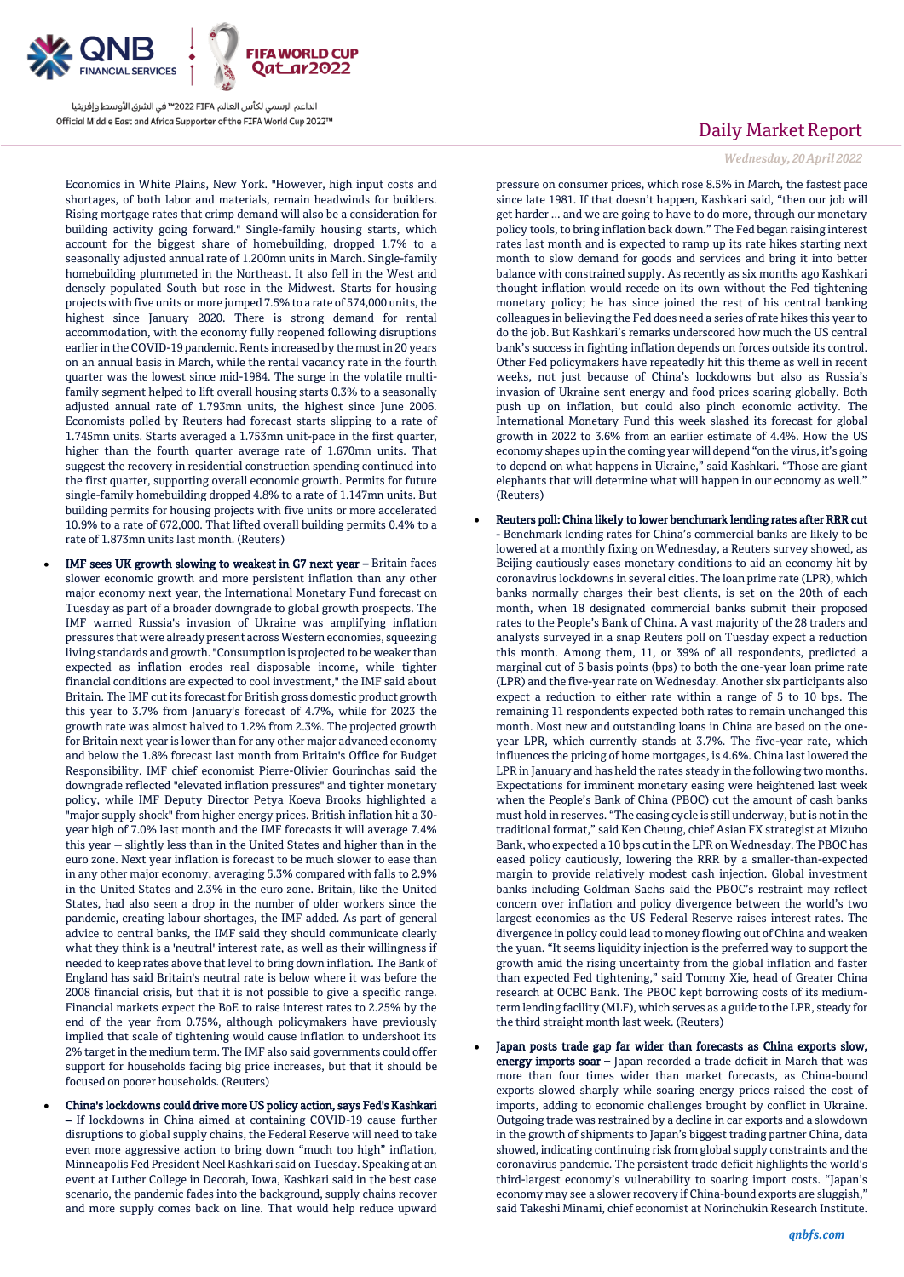

Economics in White Plains, New York. "However, high input costs and shortages, of both labor and materials, remain headwinds for builders. Rising mortgage rates that crimp demand will also be a consideration for building activity going forward." Single-family housing starts, which account for the biggest share of homebuilding, dropped 1.7% to a seasonally adjusted annual rate of 1.200mn units in March. Single-family homebuilding plummeted in the Northeast. It also fell in the West and densely populated South but rose in the Midwest. Starts for housing projects with five units or more jumped 7.5% to a rate of 574,000 units, the highest since January 2020. There is strong demand for rental accommodation, with the economy fully reopened following disruptions earlier in the COVID-19 pandemic. Rents increased by the most in 20 years on an annual basis in March, while the rental vacancy rate in the fourth quarter was the lowest since mid-1984. The surge in the volatile multifamily segment helped to lift overall housing starts 0.3% to a seasonally adjusted annual rate of 1.793mn units, the highest since June 2006. Economists polled by Reuters had forecast starts slipping to a rate of 1.745mn units. Starts averaged a 1.753mn unit-pace in the first quarter, higher than the fourth quarter average rate of 1.670mn units. That suggest the recovery in residential construction spending continued into the first quarter, supporting overall economic growth. Permits for future single-family homebuilding dropped 4.8% to a rate of 1.147mn units. But building permits for housing projects with five units or more accelerated 10.9% to a rate of 672,000. That lifted overall building permits 0.4% to a rate of 1.873mn units last month. (Reuters)

 IMF sees UK growth slowing to weakest in G7 next year – Britain faces slower economic growth and more persistent inflation than any other major economy next year, the International Monetary Fund forecast on Tuesday as part of a broader downgrade to global growth prospects. The IMF warned Russia's invasion of Ukraine was amplifying inflation pressures that were already present across Western economies, squeezing living standards and growth. "Consumption is projected to be weaker than expected as inflation erodes real disposable income, while tighter financial conditions are expected to cool investment," the IMF said about Britain. The IMF cut its forecast for British gross domestic product growth this year to 3.7% from January's forecast of 4.7%, while for 2023 the growth rate was almost halved to 1.2% from 2.3%. The projected growth for Britain next year is lower than for any other major advanced economy and below the 1.8% forecast last month from Britain's Office for Budget Responsibility. IMF chief economist Pierre-Olivier Gourinchas said the downgrade reflected "elevated inflation pressures" and tighter monetary policy, while IMF Deputy Director Petya Koeva Brooks highlighted a "major supply shock" from higher energy prices. British inflation hit a 30 year high of 7.0% last month and the IMF forecasts it will average 7.4% this year -- slightly less than in the United States and higher than in the euro zone. Next year inflation is forecast to be much slower to ease than in any other major economy, averaging 5.3% compared with falls to 2.9% in the United States and 2.3% in the euro zone. Britain, like the United States, had also seen a drop in the number of older workers since the pandemic, creating labour shortages, the IMF added. As part of general advice to central banks, the IMF said they should communicate clearly what they think is a 'neutral' interest rate, as well as their willingness if needed to keep rates above that level to bring down inflation. The Bank of England has said Britain's neutral rate is below where it was before the 2008 financial crisis, but that it is not possible to give a specific range. Financial markets expect the BoE to raise interest rates to 2.25% by the end of the year from 0.75%, although policymakers have previously implied that scale of tightening would cause inflation to undershoot its 2% target in the medium term. The IMF also said governments could offer support for households facing big price increases, but that it should be focused on poorer households. (Reuters)

 China's lockdowns could drive more US policy action, says Fed's Kashkari – If lockdowns in China aimed at containing COVID-19 cause further disruptions to global supply chains, the Federal Reserve will need to take even more aggressive action to bring down "much too high" inflation, Minneapolis Fed President Neel Kashkari said on Tuesday. Speaking at an event at Luther College in Decorah, Iowa, Kashkari said in the best case scenario, the pandemic fades into the background, supply chains recover and more supply comes back on line. That would help reduce upward

# Daily Market Report

### *Wednesday, 20April 2022*

pressure on consumer prices, which rose 8.5% in March, the fastest pace since late 1981. If that doesn't happen, Kashkari said, "then our job will get harder ... and we are going to have to do more, through our monetary policy tools, to bring inflation back down." The Fed began raising interest rates last month and is expected to ramp up its rate hikes starting next month to slow demand for goods and services and bring it into better balance with constrained supply. As recently as six months ago Kashkari thought inflation would recede on its own without the Fed tightening monetary policy; he has since joined the rest of his central banking colleagues in believing the Fed does need a series of rate hikes this year to do the job. But Kashkari's remarks underscored how much the US central bank's success in fighting inflation depends on forces outside its control. Other Fed policymakers have repeatedly hit this theme as well in recent weeks, not just because of China's lockdowns but also as Russia's invasion of Ukraine sent energy and food prices soaring globally. Both push up on inflation, but could also pinch economic activity. The International Monetary Fund this week slashed its forecast for global growth in 2022 to 3.6% from an earlier estimate of 4.4%. How the US economy shapes up in the coming year will depend "on the virus, it's going to depend on what happens in Ukraine," said Kashkari. "Those are giant elephants that will determine what will happen in our economy as well." (Reuters)

- Reuters poll: China likely to lower benchmark lending rates after RRR cut - Benchmark lending rates for China's commercial banks are likely to be lowered at a monthly fixing on Wednesday, a Reuters survey showed, as Beijing cautiously eases monetary conditions to aid an economy hit by coronavirus lockdowns in several cities. The loan prime rate (LPR), which banks normally charges their best clients, is set on the 20th of each month, when 18 designated commercial banks submit their proposed rates to the People's Bank of China. A vast majority of the 28 traders and analysts surveyed in a snap Reuters poll on Tuesday expect a reduction this month. Among them, 11, or 39% of all respondents, predicted a marginal cut of 5 basis points (bps) to both the one-year loan prime rate (LPR) and the five-year rate on Wednesday. Another six participants also expect a reduction to either rate within a range of 5 to 10 bps. The remaining 11 respondents expected both rates to remain unchanged this month. Most new and outstanding loans in China are based on the oneyear LPR, which currently stands at 3.7%. The five-year rate, which influences the pricing of home mortgages, is 4.6%. China last lowered the LPR in January and has held the rates steady in the following two months. Expectations for imminent monetary easing were heightened last week when the People's Bank of China (PBOC) cut the amount of cash banks must hold in reserves. "The easing cycle is still underway, but is not in the traditional format," said Ken Cheung, chief Asian FX strategist at Mizuho Bank, who expected a 10 bps cut in the LPR on Wednesday. The PBOC has eased policy cautiously, lowering the RRR by a smaller-than-expected margin to provide relatively modest cash injection. Global investment banks including Goldman Sachs said the PBOC's restraint may reflect concern over inflation and policy divergence between the world's two largest economies as the US Federal Reserve raises interest rates. The divergence in policy could lead to money flowing out of China and weaken the yuan. "It seems liquidity injection is the preferred way to support the growth amid the rising uncertainty from the global inflation and faster than expected Fed tightening," said Tommy Xie, head of Greater China research at OCBC Bank. The PBOC kept borrowing costs of its mediumterm lending facility (MLF), which serves as a guide to the LPR, steady for the third straight month last week. (Reuters)
- Japan posts trade gap far wider than forecasts as China exports slow, energy imports soar - Japan recorded a trade deficit in March that was more than four times wider than market forecasts, as China-bound exports slowed sharply while soaring energy prices raised the cost of imports, adding to economic challenges brought by conflict in Ukraine. Outgoing trade was restrained by a decline in car exports and a slowdown in the growth of shipments to Japan's biggest trading partner China, data showed, indicating continuing risk from global supply constraints and the coronavirus pandemic. The persistent trade deficit highlights the world's third-largest economy's vulnerability to soaring import costs. "Japan's economy may see a slower recovery if China-bound exports are sluggish," said Takeshi Minami, chief economist at Norinchukin Research Institute.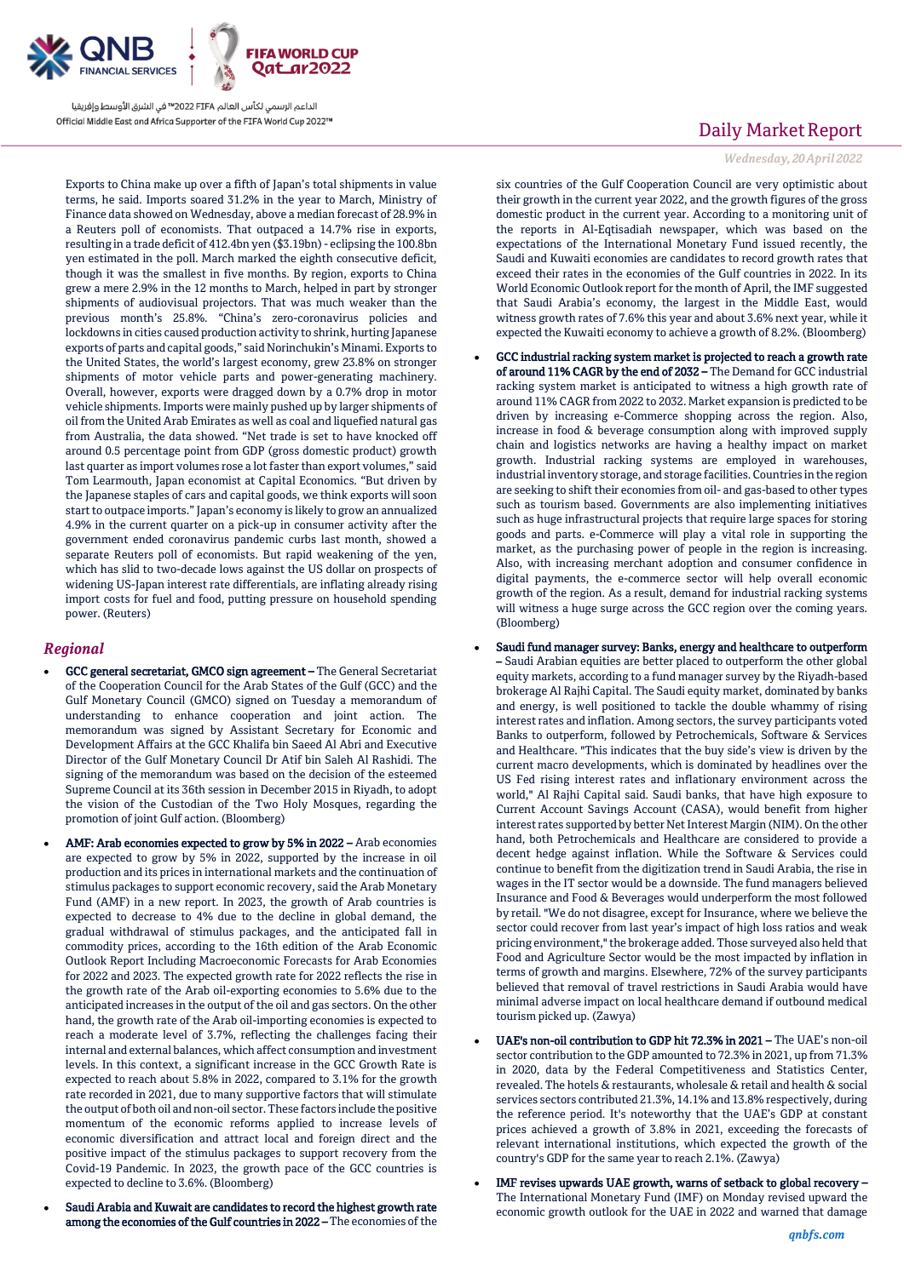

Exports to China make up over a fifth of Japan's total shipments in value terms, he said. Imports soared 31.2% in the year to March, Ministry of Finance data showed on Wednesday, above a median forecast of 28.9% in a Reuters poll of economists. That outpaced a 14.7% rise in exports, resulting in a trade deficit of 412.4bn yen (\$3.19bn) - eclipsing the 100.8bn yen estimated in the poll. March marked the eighth consecutive deficit, though it was the smallest in five months. By region, exports to China grew a mere 2.9% in the 12 months to March, helped in part by stronger shipments of audiovisual projectors. That was much weaker than the previous month's 25.8%. "China's zero-coronavirus policies and lockdowns in cities caused production activity to shrink, hurting Japanese exports of parts and capital goods," said Norinchukin's Minami. Exports to the United States, the world's largest economy, grew 23.8% on stronger shipments of motor vehicle parts and power-generating machinery. Overall, however, exports were dragged down by a 0.7% drop in motor vehicle shipments. Imports were mainly pushed up by larger shipments of oil from the United Arab Emirates as well as coal and liquefied natural gas from Australia, the data showed. "Net trade is set to have knocked off around 0.5 percentage point from GDP (gross domestic product) growth last quarter as import volumes rose a lot faster than export volumes," said Tom Learmouth, Japan economist at Capital Economics. "But driven by the Japanese staples of cars and capital goods, we think exports will soon start to outpace imports." Japan's economy is likely to grow an annualized 4.9% in the current quarter on a pick-up in consumer activity after the government ended coronavirus pandemic curbs last month, showed a separate Reuters poll of economists. But rapid weakening of the yen, which has slid to two-decade lows against the US dollar on prospects of widening US-Japan interest rate differentials, are inflating already rising import costs for fuel and food, putting pressure on household spending power. (Reuters)

### *Regional*

- GCC general secretariat, GMCO sign agreement The General Secretariat of the Cooperation Council for the Arab States of the Gulf (GCC) and the Gulf Monetary Council (GMCO) signed on Tuesday a memorandum of understanding to enhance cooperation and joint action. The memorandum was signed by Assistant Secretary for Economic and Development Affairs at the GCC Khalifa bin Saeed Al Abri and Executive Director of the Gulf Monetary Council Dr Atif bin Saleh Al Rashidi. The signing of the memorandum was based on the decision of the esteemed Supreme Council at its 36th session in December 2015 in Riyadh, to adopt the vision of the Custodian of the Two Holy Mosques, regarding the promotion of joint Gulf action. (Bloomberg)
- AMF: Arab economies expected to grow by 5% in 2022 Arab economies are expected to grow by 5% in 2022, supported by the increase in oil production and its prices in international markets and the continuation of stimulus packages to support economic recovery, said the Arab Monetary Fund (AMF) in a new report. In 2023, the growth of Arab countries is expected to decrease to 4% due to the decline in global demand, the gradual withdrawal of stimulus packages, and the anticipated fall in commodity prices, according to the 16th edition of the Arab Economic Outlook Report Including Macroeconomic Forecasts for Arab Economies for 2022 and 2023. The expected growth rate for 2022 reflects the rise in the growth rate of the Arab oil-exporting economies to 5.6% due to the anticipated increases in the output of the oil and gas sectors. On the other hand, the growth rate of the Arab oil-importing economies is expected to reach a moderate level of 3.7%, reflecting the challenges facing their internal and external balances, which affect consumption and investment levels. In this context, a significant increase in the GCC Growth Rate is expected to reach about 5.8% in 2022, compared to 3.1% for the growth rate recorded in 2021, due to many supportive factors that will stimulate the output of both oil and non-oil sector. These factors include the positive momentum of the economic reforms applied to increase levels of economic diversification and attract local and foreign direct and the positive impact of the stimulus packages to support recovery from the Covid-19 Pandemic. In 2023, the growth pace of the GCC countries is expected to decline to 3.6%. (Bloomberg)
- Saudi Arabia and Kuwait are candidates to record the highest growth rate among the economies of the Gulf countries in 2022 – The economies of the

# Daily Market Report

#### *Wednesday, 20April 2022*

six countries of the Gulf Cooperation Council are very optimistic about their growth in the current year 2022, and the growth figures of the gross domestic product in the current year. According to a monitoring unit of the reports in Al-Eqtisadiah newspaper, which was based on the expectations of the International Monetary Fund issued recently, the Saudi and Kuwaiti economies are candidates to record growth rates that exceed their rates in the economies of the Gulf countries in 2022. In its World Economic Outlook report for the month of April, the IMF suggested that Saudi Arabia's economy, the largest in the Middle East, would witness growth rates of 7.6% this year and about 3.6% next year, while it expected the Kuwaiti economy to achieve a growth of 8.2%. (Bloomberg)

- GCC industrial racking system market is projected to reach a growth rate of around 11% CAGR by the end of 2032 – The Demand for GCC industrial racking system market is anticipated to witness a high growth rate of around 11% CAGR from 2022 to 2032. Market expansion is predicted to be driven by increasing e-Commerce shopping across the region. Also, increase in food & beverage consumption along with improved supply chain and logistics networks are having a healthy impact on market growth. Industrial racking systems are employed in warehouses, industrial inventory storage, and storage facilities. Countries in the region are seeking to shift their economies from oil- and gas-based to other types such as tourism based. Governments are also implementing initiatives such as huge infrastructural projects that require large spaces for storing goods and parts. e-Commerce will play a vital role in supporting the market, as the purchasing power of people in the region is increasing. Also, with increasing merchant adoption and consumer confidence in digital payments, the e-commerce sector will help overall economic growth of the region. As a result, demand for industrial racking systems will witness a huge surge across the GCC region over the coming years. (Bloomberg)
- Saudi fund manager survey: Banks, energy and healthcare to outperform – Saudi Arabian equities are better placed to outperform the other global equity markets, according to a fund manager survey by the Riyadh-based brokerage Al Rajhi Capital. The Saudi equity market, dominated by banks and energy, is well positioned to tackle the double whammy of rising interest rates and inflation. Among sectors, the survey participants voted Banks to outperform, followed by Petrochemicals, Software & Services and Healthcare. "This indicates that the buy side's view is driven by the current macro developments, which is dominated by headlines over the US Fed rising interest rates and inflationary environment across the world," Al Rajhi Capital said. Saudi banks, that have high exposure to Current Account Savings Account (CASA), would benefit from higher interest rates supported by better Net Interest Margin (NIM). On the other hand, both Petrochemicals and Healthcare are considered to provide a decent hedge against inflation. While the Software & Services could continue to benefit from the digitization trend in Saudi Arabia, the rise in wages in the IT sector would be a downside. The fund managers believed Insurance and Food & Beverages would underperform the most followed by retail. "We do not disagree, except for Insurance, where we believe the sector could recover from last year's impact of high loss ratios and weak pricing environment," the brokerage added. Those surveyed also held that Food and Agriculture Sector would be the most impacted by inflation in terms of growth and margins. Elsewhere, 72% of the survey participants believed that removal of travel restrictions in Saudi Arabia would have minimal adverse impact on local healthcare demand if outbound medical tourism picked up. (Zawya)
- UAE's non-oil contribution to GDP hit 72.3% in 2021 The UAE's non-oil sector contribution to the GDP amounted to 72.3% in 2021, up from 71.3% in 2020, data by the Federal Competitiveness and Statistics Center, revealed. The hotels & restaurants, wholesale & retail and health & social services sectors contributed 21.3%, 14.1% and 13.8% respectively, during the reference period. It's noteworthy that the UAE's GDP at constant prices achieved a growth of 3.8% in 2021, exceeding the forecasts of relevant international institutions, which expected the growth of the country's GDP for the same year to reach 2.1%. (Zawya)
- IMF revises upwards UAE growth, warns of setback to global recovery The International Monetary Fund (IMF) on Monday revised upward the economic growth outlook for the UAE in 2022 and warned that damage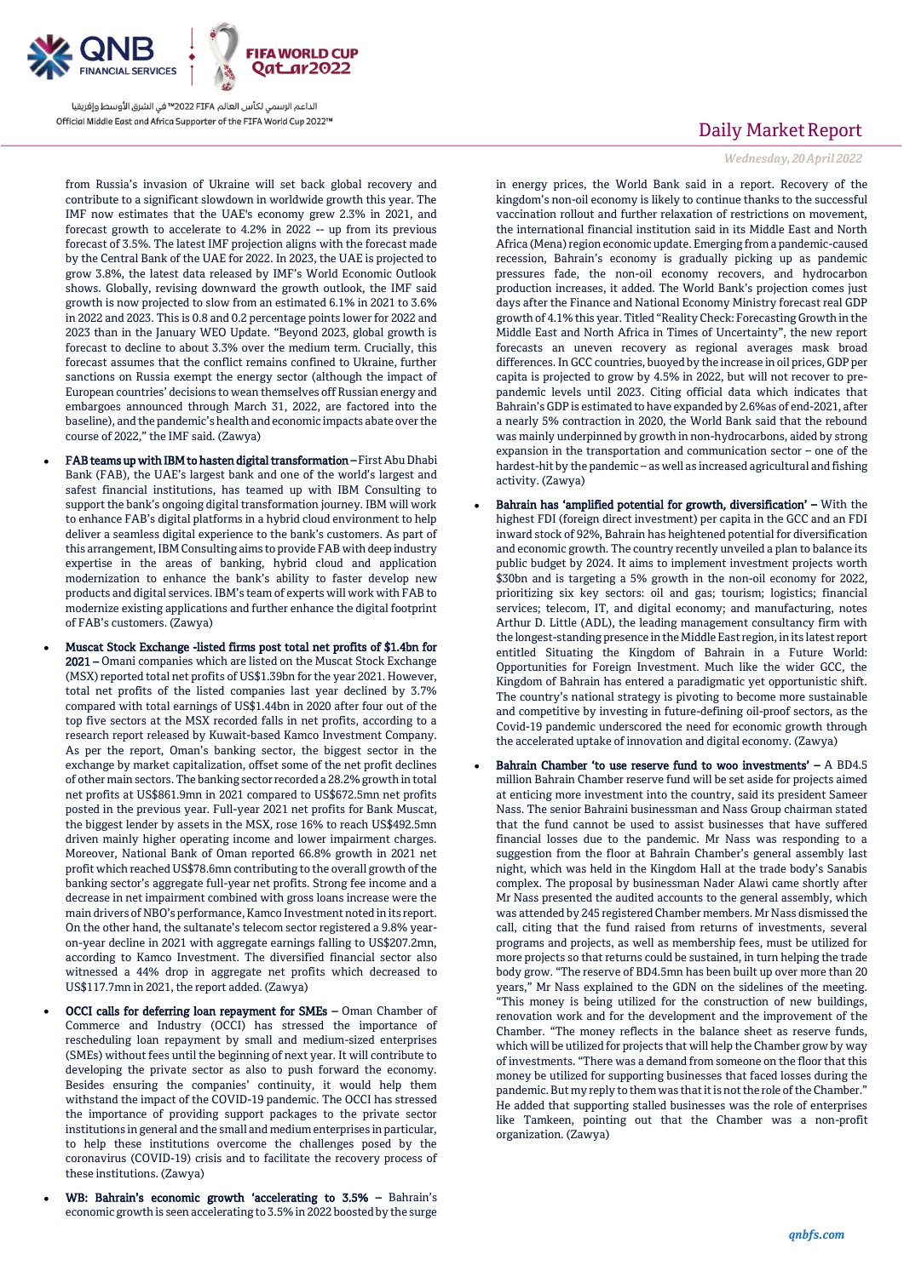

from Russia's invasion of Ukraine will set back global recovery and contribute to a significant slowdown in worldwide growth this year. The IMF now estimates that the UAE's economy grew 2.3% in 2021, and forecast growth to accelerate to 4.2% in 2022 -- up from its previous forecast of 3.5%. The latest IMF projection aligns with the forecast made by the Central Bank of the UAE for 2022. In 2023, the UAE is projected to grow 3.8%, the latest data released by IMF's World Economic Outlook shows. Globally, revising downward the growth outlook, the IMF said growth is now projected to slow from an estimated 6.1% in 2021 to 3.6% in 2022 and 2023. This is 0.8 and 0.2 percentage points lower for 2022 and 2023 than in the January WEO Update. "Beyond 2023, global growth is forecast to decline to about 3.3% over the medium term. Crucially, this forecast assumes that the conflict remains confined to Ukraine, further sanctions on Russia exempt the energy sector (although the impact of European countries' decisions to wean themselves off Russian energy and embargoes announced through March 31, 2022, are factored into the baseline), and the pandemic's health and economic impacts abate over the course of 2022," the IMF said. (Zawya)

- FAB teams up with IBM to hasten digital transformation First Abu Dhabi Bank (FAB), the UAE's largest bank and one of the world's largest and safest financial institutions, has teamed up with IBM Consulting to support the bank's ongoing digital transformation journey. IBM will work to enhance FAB's digital platforms in a hybrid cloud environment to help deliver a seamless digital experience to the bank's customers. As part of this arrangement, IBM Consulting aims to provide FAB with deep industry expertise in the areas of banking, hybrid cloud and application modernization to enhance the bank's ability to faster develop new products and digital services. IBM's team of experts will work with FAB to modernize existing applications and further enhance the digital footprint of FAB's customers. (Zawya)
- Muscat Stock Exchange -listed firms post total net profits of \$1.4bn for 2021 – Omani companies which are listed on the Muscat Stock Exchange (MSX) reported total net profits of US\$1.39bn for the year 2021. However, total net profits of the listed companies last year declined by 3.7% compared with total earnings of US\$1.44bn in 2020 after four out of the top five sectors at the MSX recorded falls in net profits, according to a research report released by Kuwait-based Kamco Investment Company. As per the report, Oman's banking sector, the biggest sector in the exchange by market capitalization, offset some of the net profit declines of other main sectors. The banking sector recorded a 28.2% growth in total net profits at US\$861.9mn in 2021 compared to US\$672.5mn net profits posted in the previous year. Full-year 2021 net profits for Bank Muscat, the biggest lender by assets in the MSX, rose 16% to reach US\$492.5mn driven mainly higher operating income and lower impairment charges. Moreover, National Bank of Oman reported 66.8% growth in 2021 net profit which reached US\$78.6mn contributing to the overall growth of the banking sector's aggregate full-year net profits. Strong fee income and a decrease in net impairment combined with gross loans increase were the main drivers of NBO's performance, Kamco Investment noted in its report. On the other hand, the sultanate's telecom sector registered a 9.8% yearon-year decline in 2021 with aggregate earnings falling to US\$207.2mn, according to Kamco Investment. The diversified financial sector also witnessed a 44% drop in aggregate net profits which decreased to US\$117.7mn in 2021, the report added. (Zawya)
- OCCI calls for deferring loan repayment for SMEs Oman Chamber of Commerce and Industry (OCCI) has stressed the importance of rescheduling loan repayment by small and medium-sized enterprises (SMEs) without fees until the beginning of next year. It will contribute to developing the private sector as also to push forward the economy. Besides ensuring the companies' continuity, it would help them withstand the impact of the COVID-19 pandemic. The OCCI has stressed the importance of providing support packages to the private sector institutions in general and the small and medium enterprises in particular, to help these institutions overcome the challenges posed by the coronavirus (COVID-19) crisis and to facilitate the recovery process of these institutions. (Zawya)
- WB: Bahrain's economic growth 'accelerating to 3.5% Bahrain's economic growth is seen accelerating to 3.5% in 2022 boosted by the surge

## Daily Market Report

#### *Wednesday, 20April 2022*

in energy prices, the World Bank said in a report. Recovery of the kingdom's non-oil economy is likely to continue thanks to the successful vaccination rollout and further relaxation of restrictions on movement, the international financial institution said in its Middle East and North Africa (Mena) region economic update. Emerging from a pandemic-caused recession, Bahrain's economy is gradually picking up as pandemic pressures fade, the non-oil economy recovers, and hydrocarbon production increases, it added. The World Bank's projection comes just days after the Finance and National Economy Ministry forecast real GDP growth of 4.1% this year. Titled "Reality Check: Forecasting Growth in the Middle East and North Africa in Times of Uncertainty", the new report forecasts an uneven recovery as regional averages mask broad differences. In GCC countries, buoyed by the increase in oil prices, GDP per capita is projected to grow by 4.5% in 2022, but will not recover to prepandemic levels until 2023. Citing official data which indicates that Bahrain's GDP is estimated to have expanded by 2.6%as of end-2021, after a nearly 5% contraction in 2020, the World Bank said that the rebound was mainly underpinned by growth in non-hydrocarbons, aided by strong expansion in the transportation and communication sector – one of the hardest-hit by the pandemic – as well as increased agricultural and fishing activity. (Zawya)

- Bahrain has 'amplified potential for growth, diversification' With the highest FDI (foreign direct investment) per capita in the GCC and an FDI inward stock of 92%, Bahrain has heightened potential for diversification and economic growth. The country recently unveiled a plan to balance its public budget by 2024. It aims to implement investment projects worth \$30bn and is targeting a 5% growth in the non-oil economy for 2022, prioritizing six key sectors: oil and gas; tourism; logistics; financial services; telecom, IT, and digital economy; and manufacturing, notes Arthur D. Little (ADL), the leading management consultancy firm with the longest-standing presence in the Middle East region, in its latest report entitled Situating the Kingdom of Bahrain in a Future World: Opportunities for Foreign Investment. Much like the wider GCC, the Kingdom of Bahrain has entered a paradigmatic yet opportunistic shift. The country's national strategy is pivoting to become more sustainable and competitive by investing in future-defining oil-proof sectors, as the Covid-19 pandemic underscored the need for economic growth through the accelerated uptake of innovation and digital economy. (Zawya)
- Bahrain Chamber 'to use reserve fund to woo investments' A BD4.5 million Bahrain Chamber reserve fund will be set aside for projects aimed at enticing more investment into the country, said its president Sameer Nass. The senior Bahraini businessman and Nass Group chairman stated that the fund cannot be used to assist businesses that have suffered financial losses due to the pandemic. Mr Nass was responding to a suggestion from the floor at Bahrain Chamber's general assembly last night, which was held in the Kingdom Hall at the trade body's Sanabis complex. The proposal by businessman Nader Alawi came shortly after Mr Nass presented the audited accounts to the general assembly, which was attended by 245 registered Chamber members. Mr Nass dismissed the call, citing that the fund raised from returns of investments, several programs and projects, as well as membership fees, must be utilized for more projects so that returns could be sustained, in turn helping the trade body grow. "The reserve of BD4.5mn has been built up over more than 20 years," Mr Nass explained to the GDN on the sidelines of the meeting. "This money is being utilized for the construction of new buildings, renovation work and for the development and the improvement of the Chamber. "The money reflects in the balance sheet as reserve funds, which will be utilized for projects that will help the Chamber grow by way of investments. "There was a demand from someone on the floor that this money be utilized for supporting businesses that faced losses during the pandemic. But my reply to them was that it is not the role of the Chamber." He added that supporting stalled businesses was the role of enterprises like Tamkeen, pointing out that the Chamber was a non-profit organization. (Zawya)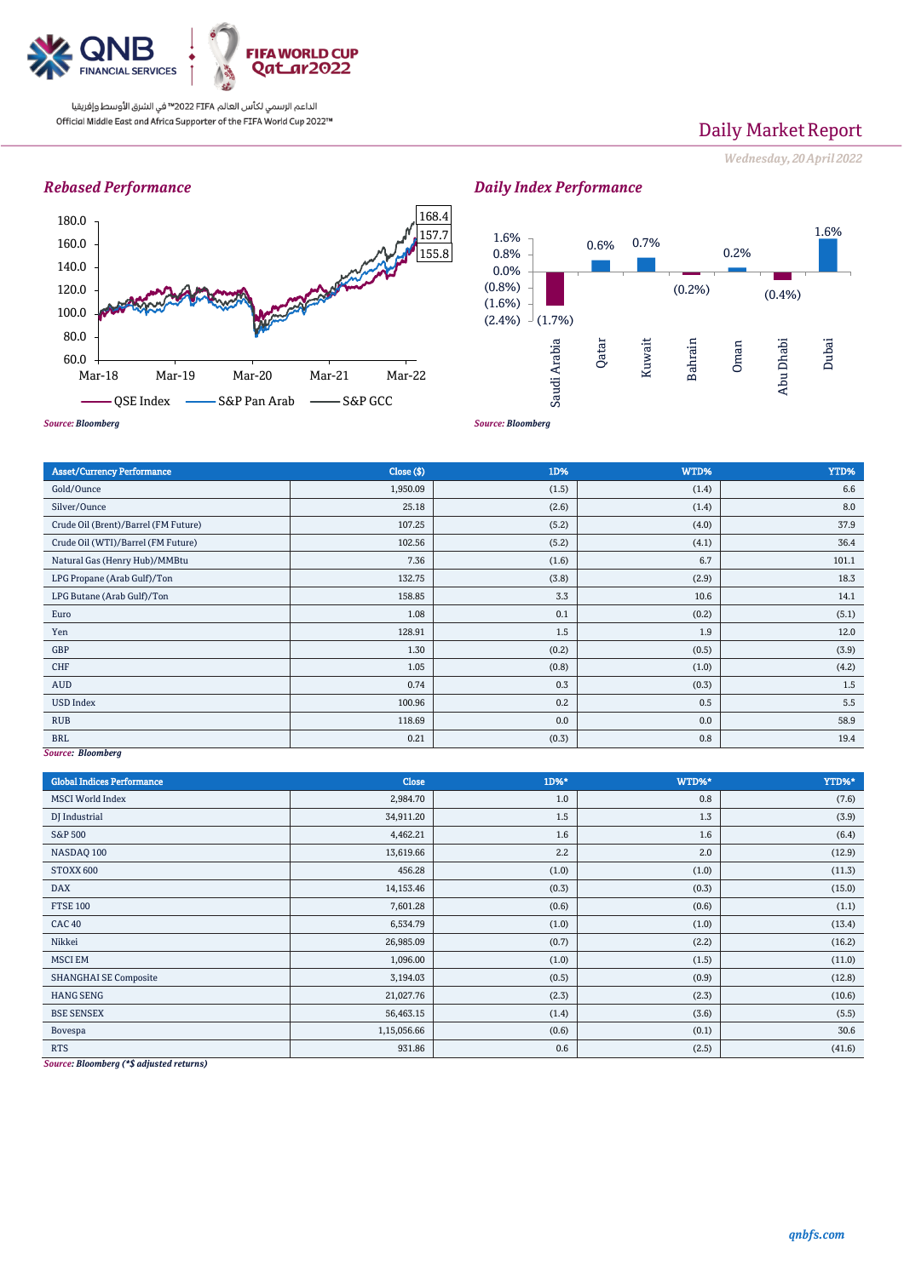

# Daily Market Report

*Wednesday, 20April 2022*

## *Rebased Performance*



## *Daily Index Performance*



| <b>Asset/Currency Performance</b>    | Close ( \$) | 1D%   | WTD%  | YTD%  |
|--------------------------------------|-------------|-------|-------|-------|
| Gold/Ounce                           | 1,950.09    | (1.5) | (1.4) | 6.6   |
| Silver/Ounce                         | 25.18       | (2.6) | (1.4) | 8.0   |
| Crude Oil (Brent)/Barrel (FM Future) | 107.25      | (5.2) | (4.0) | 37.9  |
| Crude Oil (WTI)/Barrel (FM Future)   | 102.56      | (5.2) | (4.1) | 36.4  |
| Natural Gas (Henry Hub)/MMBtu        | 7.36        | (1.6) | 6.7   | 101.1 |
| LPG Propane (Arab Gulf)/Ton          | 132.75      | (3.8) | (2.9) | 18.3  |
| LPG Butane (Arab Gulf)/Ton           | 158.85      | 3.3   | 10.6  | 14.1  |
| Euro                                 | 1.08        | 0.1   | (0.2) | (5.1) |
| Yen                                  | 128.91      | 1.5   | 1.9   | 12.0  |
| GBP                                  | 1.30        | (0.2) | (0.5) | (3.9) |
| CHF                                  | 1.05        | (0.8) | (1.0) | (4.2) |
| AUD                                  | 0.74        | 0.3   | (0.3) | 1.5   |
| <b>USD Index</b>                     | 100.96      | 0.2   | 0.5   | 5.5   |
| <b>RUB</b>                           | 118.69      | 0.0   | 0.0   | 58.9  |
| <b>BRL</b>                           | 0.21        | (0.3) | 0.8   | 19.4  |

## *Source: Bloomberg*

| <b>Global Indices Performance</b> | Close       | 1D%*  | WTD%* | YTD%*  |
|-----------------------------------|-------------|-------|-------|--------|
| <b>MSCI</b> World Index           | 2,984.70    | 1.0   | 0.8   | (7.6)  |
| DJ Industrial                     | 34,911.20   | 1.5   | 1.3   | (3.9)  |
| <b>S&amp;P 500</b>                | 4,462.21    | 1.6   | 1.6   | (6.4)  |
| NASDAQ 100                        | 13,619.66   | 2.2   | 2.0   | (12.9) |
| STOXX 600                         | 456.28      | (1.0) | (1.0) | (11.3) |
| <b>DAX</b>                        | 14,153.46   | (0.3) | (0.3) | (15.0) |
| <b>FTSE 100</b>                   | 7,601.28    | (0.6) | (0.6) | (1.1)  |
| <b>CAC 40</b>                     | 6,534.79    | (1.0) | (1.0) | (13.4) |
| Nikkei                            | 26,985.09   | (0.7) | (2.2) | (16.2) |
| <b>MSCI EM</b>                    | 1,096.00    | (1.0) | (1.5) | (11.0) |
| <b>SHANGHAI SE Composite</b>      | 3,194.03    | (0.5) | (0.9) | (12.8) |
| <b>HANG SENG</b>                  | 21,027.76   | (2.3) | (2.3) | (10.6) |
| <b>BSE SENSEX</b>                 | 56,463.15   | (1.4) | (3.6) | (5.5)  |
| Bovespa                           | 1,15,056.66 | (0.6) | (0.1) | 30.6   |
| <b>RTS</b>                        | 931.86      | 0.6   | (2.5) | (41.6) |

*Source: Bloomberg (\*\$ adjusted returns)*